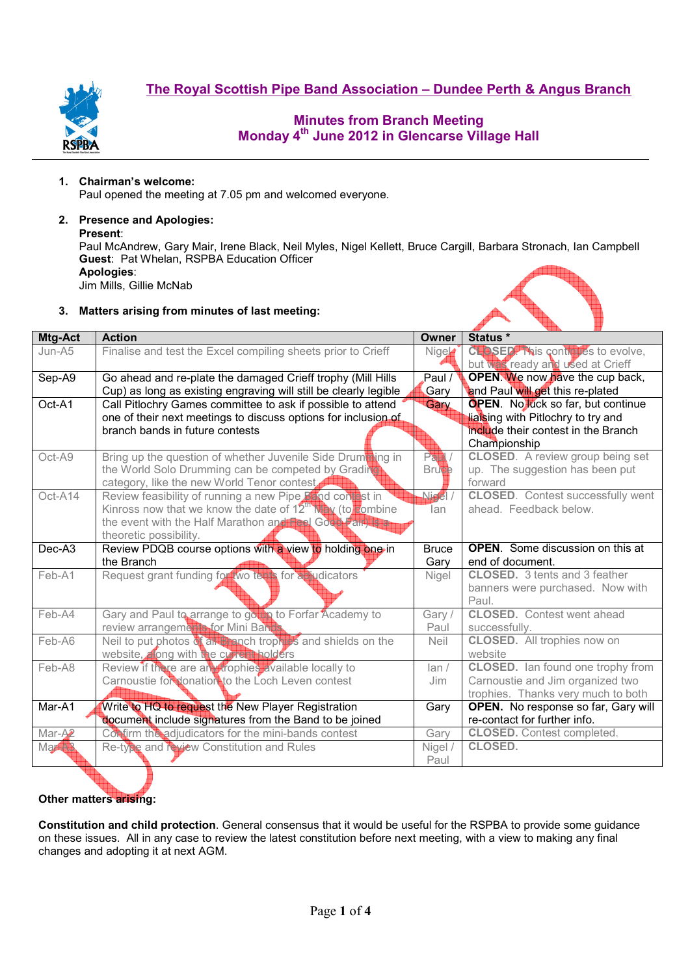

# **Minutes from Branch Meeting Monday 4th June 2012 in Glencarse Village Hall**

## **1. Chairman's welcome:**

Paul opened the meeting at 7.05 pm and welcomed everyone.

# **2. Presence and Apologies:**

**Present**:

Paul McAndrew, Gary Mair, Irene Black, Neil Myles, Nigel Kellett, Bruce Cargill, Barbara Stronach, Ian Campbell **Guest**: Pat Whelan, RSPBA Education Officer **Apologies**:

Jim Mills, Gillie McNab

## **3. Matters arising from minutes of last meeting:**

| Mtg-Act            | <b>Action</b>                                                         | Owner                | Status *                                            |  |  |
|--------------------|-----------------------------------------------------------------------|----------------------|-----------------------------------------------------|--|--|
| $Jun-45$           | Finalise and test the Excel compiling sheets prior to Crieff          | <b>Nige</b>          | <b>CHASED.</b> This contribes to evolve,            |  |  |
|                    |                                                                       |                      | but was ready and used at Crieff                    |  |  |
| Sep-A9             | Go ahead and re-plate the damaged Crieff trophy (Mill Hills           | Paul /               | <b>OPEN.</b> We now have the cup back,              |  |  |
|                    | Cup) as long as existing engraving will still be clearly legible      | Gary                 | and Paul will get this re-plated                    |  |  |
| Oct-A1             | Call Pitlochry Games committee to ask if possible to attend           | Gary                 | <b>OPEN.</b> No luck so far, but continue           |  |  |
|                    | one of their next meetings to discuss options for inclusion of        |                      | liaising with Pitlochry to try and                  |  |  |
|                    | branch bands in future contests                                       |                      | include their contest in the Branch<br>Championship |  |  |
| Oct-A9             | Bring up the question of whether Juvenile Side Drumthing in           | $P$ $\blacksquare$ / | <b>CLOSED.</b> A review group being set             |  |  |
|                    | the World Solo Drumming can be competed by Grading                    | <b>Brutte</b>        | up. The suggestion has been put                     |  |  |
|                    | category, like the new World Tenor contest                            |                      | forward                                             |  |  |
| Oct-A14            | Review feasibility of running a new Pipe Pand contast in              | $N$ iegel /          | <b>CLOSED.</b> Contest successfully went            |  |  |
|                    | Kinross now that we know the date of $12^{\text{th}}$ N/H/(to combine | lan                  | ahead. Feedback below.                              |  |  |
|                    | the event with the Half Marathon and Free Good Fairling               |                      |                                                     |  |  |
|                    | theoretic possibility.                                                |                      |                                                     |  |  |
| $Dec-A3$           | Review PDQB course options with a view to holding one in              | <b>Bruce</b>         | <b>OPEN.</b> Some discussion on this at             |  |  |
|                    | the Branch                                                            | Gary                 | end of document.                                    |  |  |
| Feb-A1             | Request grant funding for wo terms for a hydicators                   | Nigel                | <b>CLOSED.</b> 3 tents and 3 feather                |  |  |
|                    |                                                                       |                      | banners were purchased. Now with                    |  |  |
|                    |                                                                       |                      | Paul.                                               |  |  |
| Feb-A4             | Gary and Paul to arrange to go the to Forfar Academy to               | Gary /               | <b>CLOSED.</b> Contest went ahead                   |  |  |
|                    | review arrangements for Mini Banda                                    | Paul                 | successfully.                                       |  |  |
| Feb-A6             | Neil to put photos of all Branch trophy's and shields on the          | <b>Neil</b>          | <b>CLOSED.</b> All trophies now on                  |  |  |
|                    | website, along with the current holders                               |                      | website                                             |  |  |
| Feb-A8             | Review if there are an prophies available locally to                  | lan/                 | <b>CLOSED.</b> Ian found one trophy from            |  |  |
|                    | Carnoustie for donation to the Loch Leven contest                     | Jim                  | Carnoustie and Jim organized two                    |  |  |
|                    |                                                                       |                      | trophies. Thanks very much to both                  |  |  |
| Mar-A1             | Write to HQ to request the New Player Registration                    | Gary                 | OPEN. No response so far, Gary will                 |  |  |
|                    | document include signatures from the Band to be joined                |                      | re-contact for further info.                        |  |  |
| Mar-A <sup>2</sup> | Confirm the adjudicators for the mini-bands contest                   | Gary                 | <b>CLOSED.</b> Contest completed.                   |  |  |
| <b>Martin</b>      | Re-type and review Constitution and Rules                             | Nigel /              | <b>CLOSED.</b>                                      |  |  |
|                    |                                                                       | Paul                 |                                                     |  |  |

## **Other matters arising:**

**Constitution and child protection**. General consensus that it would be useful for the RSPBA to provide some guidance on these issues. All in any case to review the latest constitution before next meeting, with a view to making any final changes and adopting it at next AGM.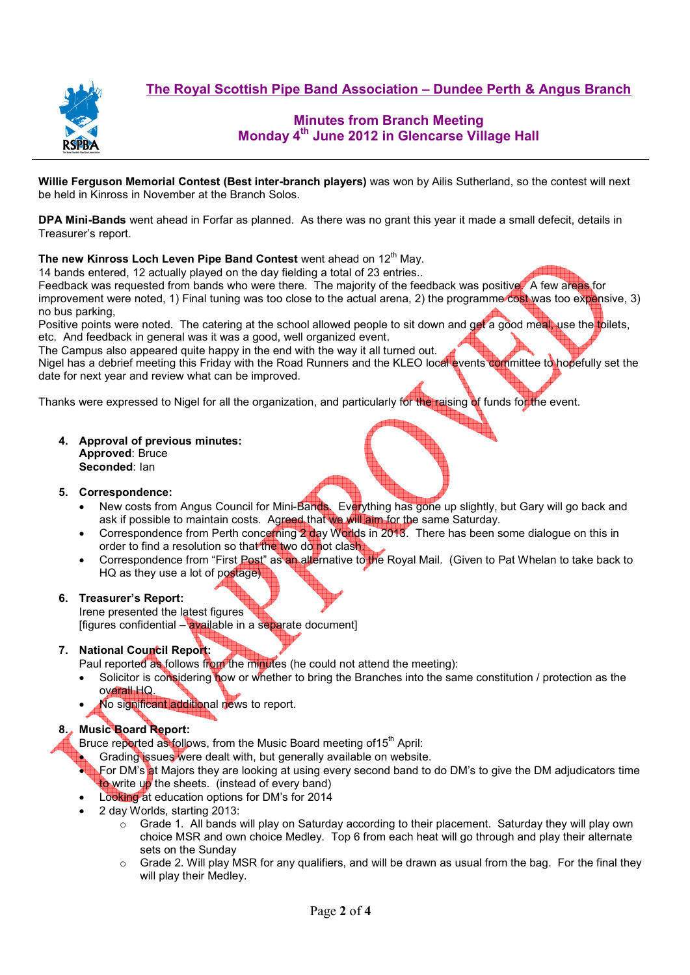

# **Minutes from Branch Meeting Monday 4th June 2012 in Glencarse Village Hall**

**Willie Ferguson Memorial Contest (Best inter-branch players)** was won by Ailis Sutherland, so the contest will next be held in Kinross in November at the Branch Solos.

**DPA Mini-Bands** went ahead in Forfar as planned. As there was no grant this year it made a small defecit, details in Treasurer's report.

### **The new Kinross Loch Leven Pipe Band Contest** went ahead on 12<sup>th</sup> May.

14 bands entered, 12 actually played on the day fielding a total of 23 entries..

Feedback was requested from bands who were there. The majority of the feedback was positive. A few areas for improvement were noted, 1) Final tuning was too close to the actual arena, 2) the programme cost was too expensive, 3) no bus parking,

Positive points were noted. The catering at the school allowed people to sit down and get a good meal, use the toilets, etc. And feedback in general was it was a good, well organized event.

The Campus also appeared quite happy in the end with the way it all turned out.

Nigel has a debrief meeting this Friday with the Road Runners and the KLEO local events committee to hopefully set the date for next year and review what can be improved.

Thanks were expressed to Nigel for all the organization, and particularly for the raising of funds for the event.

**4. Approval of previous minutes: Approved**: Bruce **Seconded**: Ian

#### **5. Correspondence:**

- New costs from Angus Council for Mini-Bands. Everything has gone up slightly, but Gary will go back and ask if possible to maintain costs. Agreed that we will aim for the same Saturday.
- Correspondence from Perth concerning 2 day Worlds in 2013. There has been some dialogue on this in order to find a resolution so that the two do not clash.
- Correspondence from "First Post" as an alternative to the Royal Mail. (Given to Pat Whelan to take back to HQ as they use a lot of postage)

#### **6. Treasurer's Report:**

Irene presented the latest figures [figures confidential – available in a separate document]

## **7. National Council Report:**

Paul reported as follows from the minutes (he could not attend the meeting):

- Solicitor is considering how or whether to bring the Branches into the same constitution / protection as the overall HQ.
- No significant additional news to report.

## **8. Music Board Report:**

Bruce reported as follows, from the Music Board meeting of 15<sup>th</sup> April:

Grading issues were dealt with, but generally available on website.

- For DM's at Majors they are looking at using every second band to do DM's to give the DM adjudicators time to write up the sheets. (instead of every band)
- Looking at education options for DM's for 2014
- 2 day Worlds, starting 2013:
	- $\circ$  Grade 1. All bands will play on Saturday according to their placement. Saturday they will play own choice MSR and own choice Medley. Top 6 from each heat will go through and play their alternate sets on the Sunday
	- $\circ$  Grade 2. Will play MSR for any qualifiers, and will be drawn as usual from the bag. For the final they will play their Medley.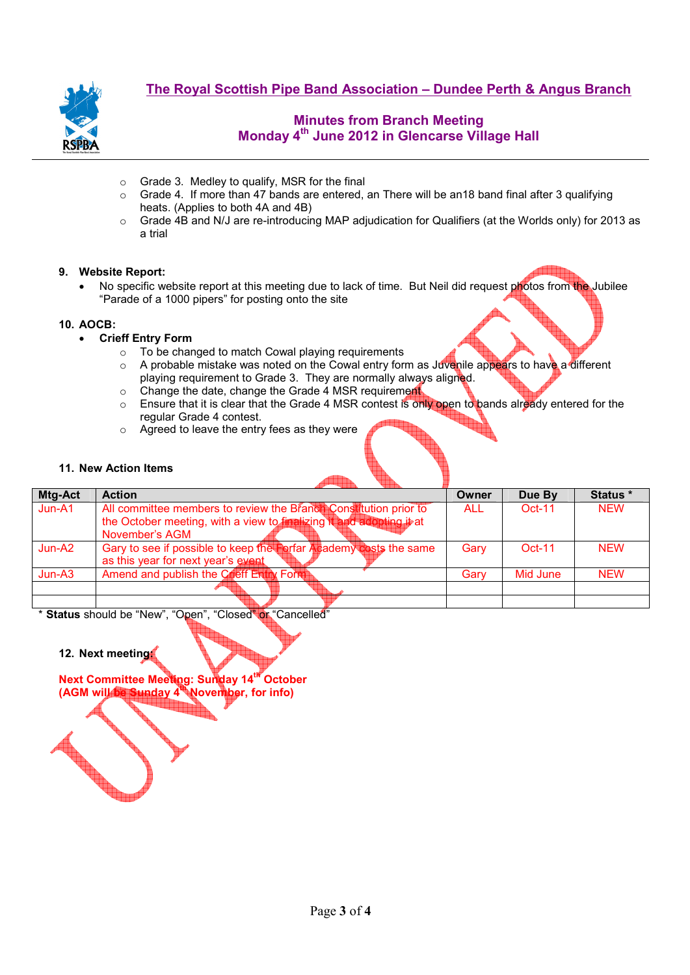

# **Minutes from Branch Meeting Monday 4th June 2012 in Glencarse Village Hall**

- o Grade 3. Medley to qualify, MSR for the final
- $\circ$  Grade 4. If more than 47 bands are entered, an There will be an 18 band final after 3 qualifying heats. (Applies to both 4A and 4B)
- o Grade 4B and N/J are re-introducing MAP adjudication for Qualifiers (at the Worlds only) for 2013 as a trial

## **9. Website Report:**

No specific website report at this meeting due to lack of time. But Neil did request photos from the Jubilee "Parade of a 1000 pipers" for posting onto the site

### **10. AOCB:**

- **Crieff Entry Form** 
	- o To be changed to match Cowal playing requirements
	- $\circ$  A probable mistake was noted on the Cowal entry form as Juvenile appears to have a different playing requirement to Grade 3. They are normally always aligned.
	- o Change the date, change the Grade 4 MSR requirement
	- o Ensure that it is clear that the Grade 4 MSR contest is only open to bands already entered for the regular Grade 4 contest.
	- $\circ$  Agreed to leave the entry fees as they were

### **11. New Action Items**

| <b>Mtg-Act</b> | <b>Action</b>                                                        | Owner | Due By   | Status *   |
|----------------|----------------------------------------------------------------------|-------|----------|------------|
| Jun-A1         | All committee members to review the Branch Constitution prior to     | ALL.  | $Oct-11$ | <b>NEW</b> |
|                | the October meeting, with a view to finalizing it and adopting it at |       |          |            |
|                | November's AGM                                                       |       |          |            |
| Jun-A2         | Gary to see if possible to keep the Forfar Academy costs the same    | Gary  | $Oct-11$ | <b>NFW</b> |
|                | as this year for next year's event                                   |       |          |            |
| Jun-A3         | Amend and publish the Crieff Entry Form                              | Garv  | Mid June | <b>NEW</b> |
|                |                                                                      |       |          |            |
|                |                                                                      |       |          |            |

\* **Status** should be "New", "Open", "Closed" or "Cancelled"

**12. Next meeting:** 

**Next Committee Meeting: Sunday 14th October (AGM will be Sunday 4th November, for info)**